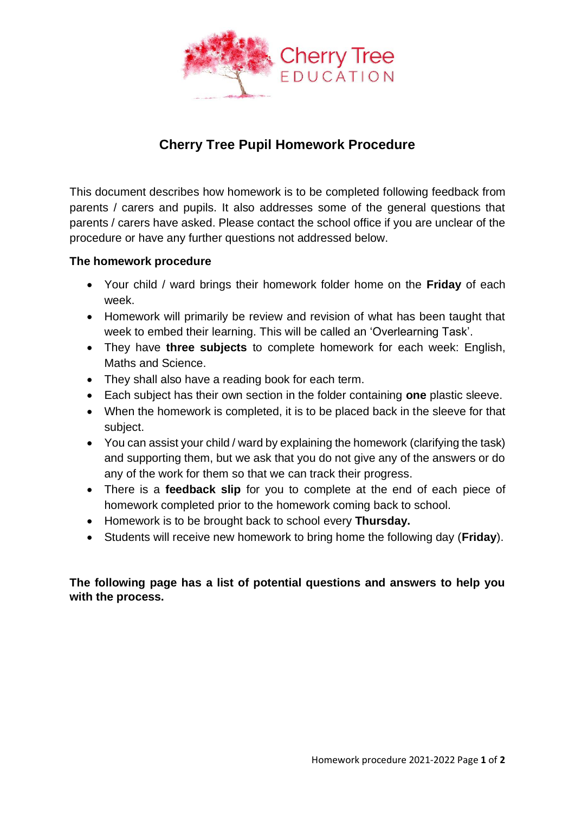

# **Cherry Tree Pupil Homework Procedure**

This document describes how homework is to be completed following feedback from parents / carers and pupils. It also addresses some of the general questions that parents / carers have asked. Please contact the school office if you are unclear of the procedure or have any further questions not addressed below.

### **The homework procedure**

- Your child / ward brings their homework folder home on the **Friday** of each week.
- Homework will primarily be review and revision of what has been taught that week to embed their learning. This will be called an 'Overlearning Task'.
- They have **three subjects** to complete homework for each week: English, Maths and Science.
- They shall also have a reading book for each term.
- Each subject has their own section in the folder containing **one** plastic sleeve.
- When the homework is completed, it is to be placed back in the sleeve for that subject.
- You can assist your child / ward by explaining the homework (clarifying the task) and supporting them, but we ask that you do not give any of the answers or do any of the work for them so that we can track their progress.
- There is a **feedback slip** for you to complete at the end of each piece of homework completed prior to the homework coming back to school.
- Homework is to be brought back to school every **Thursday.**
- Students will receive new homework to bring home the following day (**Friday**).

## **The following page has a list of potential questions and answers to help you with the process.**